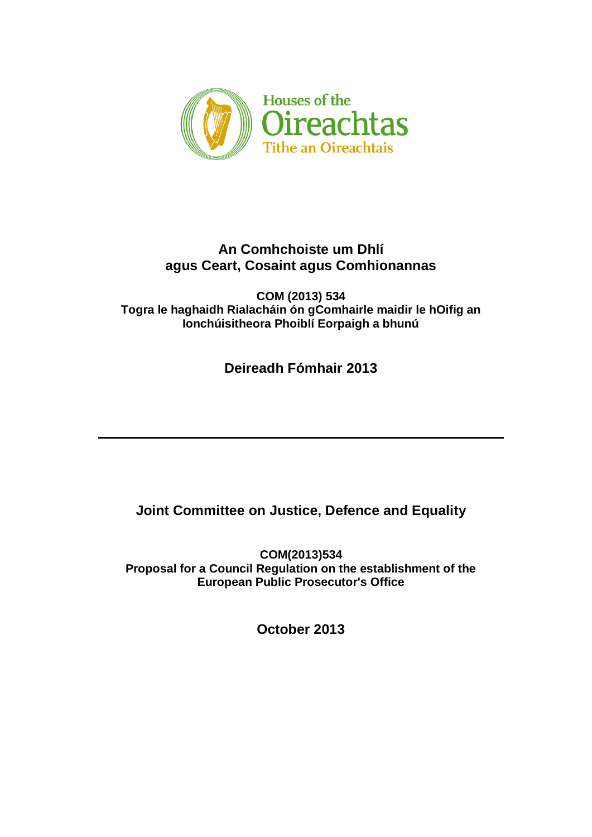

# **An Comhchoiste um Dhlí agus Ceart, Cosaint agus Comhionannas**

**COM (2013) 534 Togra le haghaidh Rialacháin ón gComhairle maidir le hOifig an Ionchúisitheora Phoiblí Eorpaigh a bhunú**

**Deireadh Fómhair 2013**

# **Joint Committee on Justice, Defence and Equality**

**COM(2013)534 Proposal for a Council Regulation on the establishment of the European Public Prosecutor's Office**

**October 2013**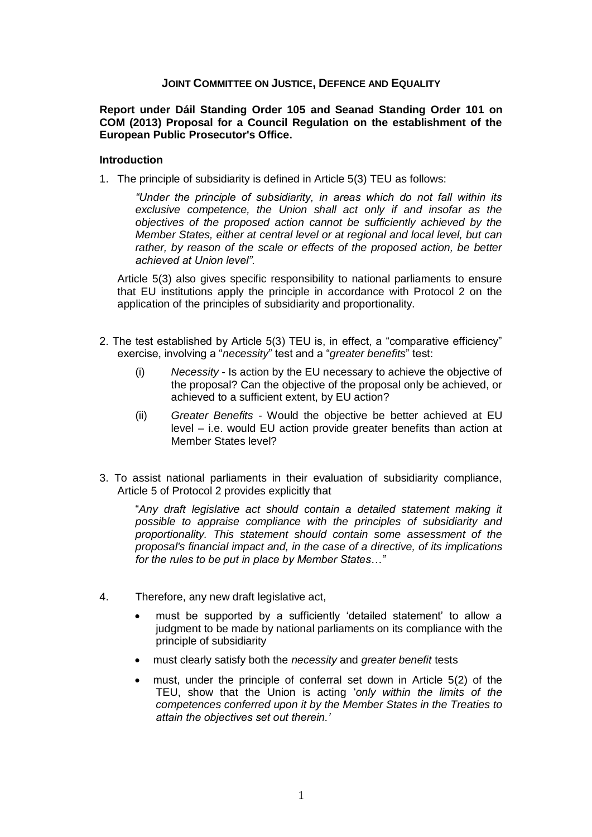## **JOINT COMMITTEE ON JUSTICE, DEFENCE AND EQUALITY**

#### **Report under Dáil Standing Order 105 and Seanad Standing Order 101 on COM (2013) Proposal for a Council Regulation on the establishment of the European Public Prosecutor's Office.**

#### **Introduction**

1. The principle of subsidiarity is defined in Article 5(3) TEU as follows:

*"Under the principle of subsidiarity, in areas which do not fall within its exclusive competence, the Union shall act only if and insofar as the objectives of the proposed action cannot be sufficiently achieved by the Member States, either at central level or at regional and local level, but can*  rather, by reason of the scale or effects of the proposed action, be better *achieved at Union level".* 

Article 5(3) also gives specific responsibility to national parliaments to ensure that EU institutions apply the principle in accordance with Protocol 2 on the application of the principles of subsidiarity and proportionality.

- 2. The test established by Article 5(3) TEU is, in effect, a "comparative efficiency" exercise, involving a "*necessity*" test and a "*greater benefits*" test:
	- (i) *Necessity* Is action by the EU necessary to achieve the objective of the proposal? Can the objective of the proposal only be achieved, or achieved to a sufficient extent, by EU action?
	- (ii) *Greater Benefits*  Would the objective be better achieved at EU level – i.e. would EU action provide greater benefits than action at Member States level?
- 3. To assist national parliaments in their evaluation of subsidiarity compliance, Article 5 of Protocol 2 provides explicitly that

"*Any draft legislative act should contain a detailed statement making it possible to appraise compliance with the principles of subsidiarity and proportionality. This statement should contain some assessment of the proposal's financial impact and, in the case of a directive, of its implications for the rules to be put in place by Member States…"*

- 4. Therefore, any new draft legislative act,
	- must be supported by a sufficiently "detailed statement" to allow a judgment to be made by national parliaments on its compliance with the principle of subsidiarity
	- must clearly satisfy both the *necessity* and *greater benefit* tests
	- must, under the principle of conferral set down in Article 5(2) of the TEU, show that the Union is acting "*only within the limits of the competences conferred upon it by the Member States in the Treaties to attain the objectives set out therein.'*